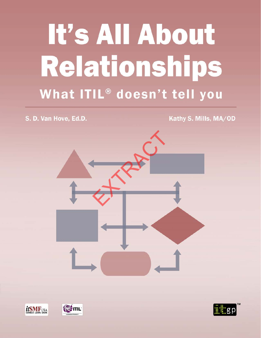# It's All About **Relationships** What ITIL® doesn't tell you

S. D. Van Hove, Ed.D.

Kathy S. Mills, MA/OD







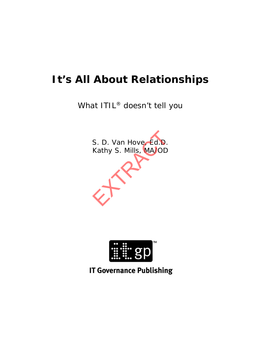### **It's All About Relationships**

What ITIL<sup>®</sup> doesn't tell you





**IT Governance Publishing**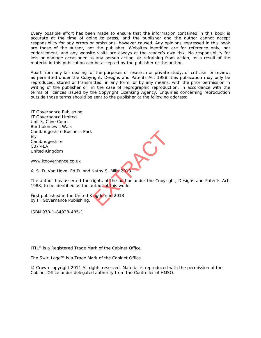Every possible effort has been made to ensure that the information contained in this book is accurate at the time of going to press, and the publisher and the author cannot accept responsibility for any errors or omissions, however caused. Any opinions expressed in this book are those of the author, not the publisher. Websites identified are for reference only, not endorsement, and any website visits are always at the reader's own risk. No responsibility for loss or damage occasioned to any person acting, or refraining from action, as a result of the material in this publication can be accepted by the publisher or the author.

Apart from any fair dealing for the purposes of research or private study, or criticism or review, as permitted under the Copyright, Designs and Patents Act 1988, this publication may only be reproduced, stored or transmitted, in any form, or by any means, with the prior permission in writing of the publisher or, in the case of reprographic reproduction, in accordance with the terms of licences issued by the Copyright Licensing Agency. Enquiries concerning reproduction outside those terms should be sent to the publisher at the following address:

IT Governance Publishing IT Governance Limited Unit 3, Clive Court Bartholomew's Walk Cambridgeshire Business Park Ely Cambridgeshire CB7 4EA United Kingdom

*[www.itgovernance.co.uk](http://www.itgovernance.co.uk/)*

© S. D. Van Hove, Ed.D. and Kathy S. Mills 2013

The author has asserted the rights of the author under the Copyright, Designs and Patents Act, 1988, to be identified as the author of this work. Kathy S. Mills 2013<br>Tights of the author under the Copyri<br>uthor of this work.<br>Ingdom in 2013

First published in the United Kingdom in 2013 by IT Governance Publishing.

ISBN 978-1-84928-485-1

ITIL<sup>®</sup> is a Registered Trade Mark of the Cabinet Office.

The Swirl Logo™ is a Trade Mark of the Cabinet Office.

© Crown copyright 2011 All rights reserved. Material is reproduced with the permission of the Cabinet Office under delegated authority from the Controller of HMSO.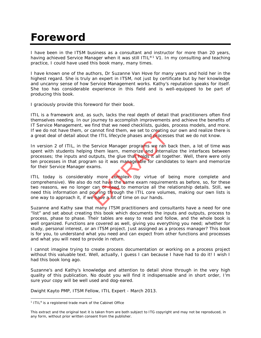### **Foreword**

I have been in the ITSM business as a consultant and instructor for more than 20 years, having achieved Service Manager when it was still ITIL<sup>®[1](#page-3-0)</sup> V1. In my consulting and teaching practice, I could have used this book many, many times.

I have known one of the authors, Dr Suzanne Van Hove for many years and hold her in the highest regard. She is truly an expert in ITSM, not just by certificate but by her knowledge and uncanny sense of how Service Management works. Kathy's reputation speaks for itself. She too has considerable experience in this field and is well-equipped to be part of producing this book.

I graciously provide this foreword for their book.

ITIL is a framework and, as such, lacks the real depth of detail that practitioners often find themselves needing. In our journey to accomplish improvements and achieve the benefits of IT Service Management, we find that we need checklists, guides, process models, and more. If we do not have them, or cannot find them, we set to creating our own and realize there is a great deal of detail about the ITIL lifecycle phases and processes that we do not know.

In version 2 of ITIL, in the Service Manager programs we ran back then, a lot of time was spent with students helping them learn, memorize and internalize the interfaces between processes; the inputs and outputs, the glue that holds it all together. Well, there were only ten processes in that program so it was manageable for candidates to learn and memorize for their Service Manager exams. annot find them, we set to creating<br>the ITIL lifecycle phases and process<br>Service Manager programs we ran<br>them learn, memorize and internations<br>utputs, the glue that holds it all tog<br>m so it was manageable for candid<br>ams.<br>

ITIL today is considerably more complex (by virtue of being more complete and comprehensive). We also do not have the same exam requirements as before, so, for these two reasons, we no longer can or need to memorize all the relationship details. Still, we need this information and pouring through the ITIL core volumes, making our own lists is one way to approach it, if we have a lot of time on our hands.

Suzanne and Kathy saw that many ITSM practitioners and consultants have a need for one "list" and set about creating this book which documents the inputs and outputs, process to process, phase to phase. Their tables are easy to read and follow, and the whole book is well organized. Functions are covered as well, giving you everything you need; whether for study, personal interest, or an ITSM project. Just assigned as a process manager? This book is for you, to understand what you need and can expect from other functions and processes and what you will need to provide in return.

I cannot imagine trying to create process documentation or working on a process project without this valuable text. Well, actually, I guess I can because I have had to do it! I wish I had this book long ago.

Suzanne's and Kathy's knowledge and attention to detail shine through in the very high quality of this publication. No doubt you will find it indispensable and in short order, I'm sure your copy will be well used and dog-eared.

Dwight Kayto PMP, ITSM Fellow, ITIL Expert - March 2013.

<span id="page-3-0"></span> $1$  ITIL<sup>®</sup> is a registered trade mark of the Cabinet Office

This extract and the original text it is taken from are both subject to ITG copyright and may not be reproduced, in any form, without prior written consent from the publisher.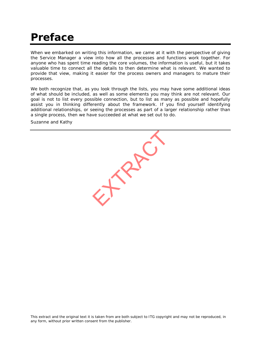### **Preface**

When we embarked on writing this information, we came at it with the perspective of giving the Service Manager a view into how all the processes and functions work together. For anyone who has spent time reading the core volumes, the information is useful, but it takes valuable time to connect all the details to then determine what is relevant. We wanted to provide that view, making it easier for the process owners and managers to mature their processes.

We both recognize that, as you look through the lists, you may have some additional ideas of what should be included, as well as some elements you may think are not relevant. Our goal is not to list every possible connection, but to list as many as possible and hopefully assist you in thinking differently about the framework. If you find yourself identifying additional relationships, or seeing the processes as part of a larger relationship rather than a single process, then we have succeeded at what we set out to do.

CRACT

Suzanne and Kathy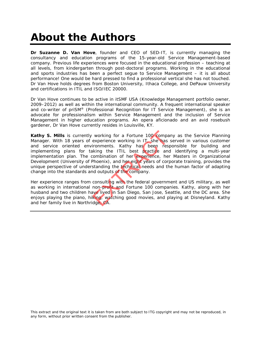### **About the Authors**

**Dr Suzanne D. Van Hove**, founder and CEO of SED-IT, is currently managing the consultancy and education programs of the 15-year-old Service Management-based company. Previous life experiences were focused in the educational profession – teaching at all levels, from kindergarten through post-doctoral programs. Working in the educational and sports industries has been a perfect segue to Service Management – it is all about performance! One would be hard pressed to find a professional vertical she has not touched. Dr Van Hove holds degrees from Boston University, Ithaca College, and DePauw University and certifications in ITIL and ISO/IEC 20000.

Dr Van Hove continues to be active in itSMF USA (Knowledge Management portfolio owner, 2009–2012) as well as within the international community. A frequent international speaker and co-writer of priSM® (Professional Recognition for IT Service Management), she is an advocate for professionalism within Service Management and the inclusion of Service Management in higher education programs. An opera aficionado and an avid rosebush gardener, Dr Van Hove currently resides in Louisville, KY.

Kathy S. Mills is currently working for a Fortune 100 company as the Service Planning Manager. With 18 years of experience working in IT, she has served in various customer and service oriented environments. Kathy has been responsible for building and implementing plans for taking the ITIL best practice and identifying a multi-year implementation plan. The combination of her experience, her Masters in Organizational Development (University of Phoenix), and her eight years of corporate training, provides the unique perspective of understanding the technical needs and the human factor of adapting change into the standards and outputs of the company. working for a Fortune 100 comparexperience working in IT, she has<br>ironments. Kathy has been research in the search with the search with<br>interesting the ITIL best practice and combination of her experience, he<br>Phoenix), and

Her experience ranges from consulting with the federal government and US military, as well as working in international non-profit and Fortune 100 companies. Kathy, along with her husband and two children have lived in San Diego, San Jose, Seattle, and the DC area. She enjoys playing the piano, hiking, watching good movies, and playing at Disneyland. Kathy and her family live in Northridge, CA.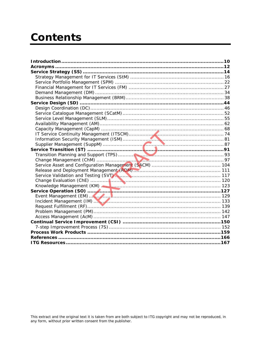### **Contents**

| Knowledge Management (KM) And Communication and Communication and 123 |  |
|-----------------------------------------------------------------------|--|
|                                                                       |  |
| Event Management (EM) <<<     Lummanagement (29                       |  |
|                                                                       |  |
|                                                                       |  |
|                                                                       |  |
|                                                                       |  |
|                                                                       |  |
|                                                                       |  |
|                                                                       |  |
|                                                                       |  |
|                                                                       |  |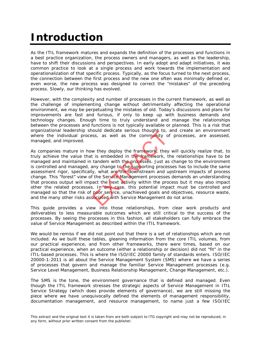## **Introduction**

As the ITIL framework matures and expands the definition of the processes and functions in a best practice organization, the process owners and managers, as well as the leadership, have to shift their discussions and perspectives. In early adopt and adapt initiatives, it was common practice to look at a single process and work towards the implementation and operationalization of that specific process. Typically, as the focus turned to the next process, the connection between the first process and the new one often was minimally defined or, even worse, the new process was designed to correct the "mistakes" of the preceding process. Slowly, our thinking has evolved.

However, with the complexity and number of processes in the current framework, as well as the challenge of implementing change without detrimentally affecting the operational environment, we may be perpetuating the mistakes of old. Today's discussions and plans for improvements are fast and furious, if only to keep up with business demands and technology changes. Enough time to truly understand and manage the relationships between the processes and functions is not typically available or planned. This is a risk that organizational leadership should dedicate serious thought to, and create an environment where the individual process, as well as the community of processes, are assessed, managed, and improved.

As companies mature in how they deploy the framework, they will quickly realize that, to truly achieve the value that is embedded in the framework, the relationships have to be managed and maintained in tandem with the processes. Just as change to the environment is controlled and managed, any change to the supporting processes has to include the same assessment rigor, specifically, what are the downstream and upstream impacts of process change. This "forest" view of the Service Management processes demands an understanding that process output will impact the next activity within the process but it may also impact other the related processes. In any case, this potential impact must be controlled and managed so that the risk of poor service, unachieved goals and objectives, resource waste, and the many other risks associated with Service Management do not arise. ould dealcate serious thought to,<br>ss, as well as the community of<br>w they deploy the framework, they<br>is embedded in the framework, t<br>tandem with the processes. Just as<br>any change to the supporting process,<br>y, what are the d

This guide provides a view into those relationships, from clear work products and deliverables to less measurable outcomes which are still critical to the success of the processes. By seeing the processes in this fashion, all stakeholders can fully embrace the value of Service Management as described within the ITIL framework.

We would be remiss if we did not point out that there is a set of relationships which are not included. As we built these tables, gleaning information from the core ITIL volumes, from our practical experience, and from other frameworks, there were times, based on our practical experience, when an outcome (either a relationship or decision) did not "fit" in the ITIL-based processes. This is where the ISO/IEC 20000 family of standards enters. ISO/IEC 20000-1:2011 is all about the Service Management System (SMS) where we have a series of processes that govern and manage the familiar Service Management processes (e.g. Service Level Management, Business Relationship Management, Change Management, etc.).

The SMS is the tone, the environment governance that is defined and managed. Even though the ITIL framework stresses the strategic aspects of Service Management in ITIL Service Strategy (which does provide elements of governance), we are still missing the piece where we have unequivocally defined the elements of management responsibility, documentation management, and resource management, to name just a few ISO/IEC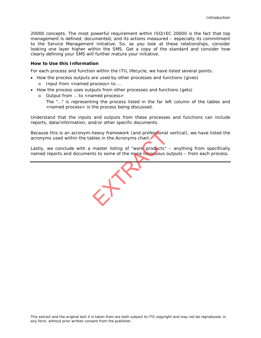20000 concepts. The most powerful requirement within ISO/IEC 20000 is the fact that top management is defined, documented, and its actions measured – especially its commitment to the Service Management initiative. So, as you look at these relationships, consider looking one layer higher within the SMS. Get a copy of the standard and consider how clearly defining your SMS will further mature your initiative.

#### **How to Use this Information**

For each process and function within the ITIL lifecycle, we have listed several points:

- How the process outputs are used by other processes and functions (gives)
	- o Input from <*named process*> to …
- How the process uses outputs from other processes and functions (gets)
	- o Output from … to <*named process*> The "…" is representing the process listed in the far left column of the tables and <*named* process> is the process being discussed.

Understand that the inputs and outputs from these processes and functions can include reports, data/information, and/or other specific documents.

Because this is an acronym-heavy framework (and professional vertical), we have listed the acronyms used within the tables in the Acronyms chart. heavy framework (and professional<br>bles in the Acronyms chart.<br>master listing of "work products"<br>ts to some of the more innocuous o

Lastly, we conclude with a master listing of "work products" – anything from specifically named reports and documents to some of the more innocuous outputs – from each process.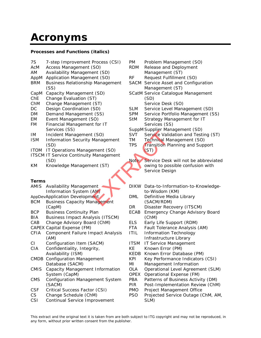### **Acronyms**

#### **Processes and Functions (***italics***)**

| 7S              | 7-step Improvement Process (CSI)                  | PM                       | Problem Management (SO)                                            |
|-----------------|---------------------------------------------------|--------------------------|--------------------------------------------------------------------|
| <b>AcM</b>      | Access Management (SO)                            | <b>RDM</b>               | Release and Deployment                                             |
| AM              | Availability Management (SD)                      |                          | Management (ST)                                                    |
| AppM            | Application Management (SO)                       | <b>RF</b>                | Request Fulfillment (SO)                                           |
| <b>BRM</b>      | <b>Business Relationship Management</b>           |                          | SACM Service Asset and Configuration                               |
|                 | (SS)                                              |                          | Management (ST)                                                    |
| CapM            | Capacity Management (SD)                          |                          | SCatM Service Catalogue Management                                 |
| ChE             | Change Evaluation (ST)                            |                          | (SD)                                                               |
| ChM             | Change Management (ST)                            |                          | Service Desk (SO)                                                  |
| DC<br><b>DM</b> | Design Coordination (SD)                          | <b>SLM</b><br><b>SPM</b> | Service Level Management (SD)<br>Service Portfolio Management (SS) |
| EM              | Demand Management (SS)<br>Event Management (SO)   | <b>StM</b>               | Strategy Management for IT                                         |
| FM              | Financial Management for IT                       |                          | Services (SS)                                                      |
|                 | Services (SS)                                     |                          | SuppM Supplier Management (SD)                                     |
| IM              | Incident Management (SO)                          | <b>SVT</b>               | Service Validation and Testing (ST)                                |
| <b>ISM</b>      | <b>Information Security Management</b>            | TМ                       | Technical Management (SO)                                          |
|                 | (SD)                                              | <b>TPS</b>               | Transition Planning and Support                                    |
| <b>ITOM</b>     | IT Operations Management (SO)                     |                          | (ST)                                                               |
|                 | <b>ITSCM IT Service Continuity Management</b>     |                          |                                                                    |
|                 | (SD)                                              | Note:                    | Service Desk will not be abbreviated                               |
| KM              | Knowledge Management (ST)                         |                          | owing to possible confusion with                                   |
|                 |                                                   |                          | Service Design                                                     |
|                 |                                                   |                          |                                                                    |
| <b>Terms</b>    |                                                   |                          |                                                                    |
| <b>AMIS</b>     | <b>Availability Management</b>                    |                          | DIKW Data-to-Information-to-Knowledge-                             |
|                 | Information System (AM)                           |                          | to-Wisdom (KM)                                                     |
|                 | AppDevApplication Development                     | <b>DML</b>               | Definitive Media Library                                           |
| <b>BCM</b>      | <b>Business Capacity Management</b>               |                          | (SACM/RDM)                                                         |
|                 | (CapM)                                            | DR                       | Disaster Recovery (ITSCM)                                          |
| <b>BCP</b>      | <b>Business Continuity Plan</b>                   | <b>ECAB</b>              | Emergency Change Advisory Board                                    |
| BIA             | <b>Business Impact Analysis (ITSCM)</b>           |                          | (ChM)                                                              |
| CAB             | Change Advisory Board (ChM)                       | <b>ELS</b>               | Early Life Support (RDM)                                           |
|                 | <b>CAPEX Capital Expense (FM)</b>                 | <b>FTA</b>               | Fault Tolerance Analysis (AM)                                      |
| CFIA            | <b>Component Failure Impact Analysis</b>          | <b>ITIL</b>              | <b>Information Technology</b>                                      |
|                 | (AM)                                              | <b>ITSM</b>              | Infrastructure Library                                             |
| CI<br>CIA       | Configuration Item (SACM)                         |                          | IT Service Management                                              |
|                 | Confidentiality, Integrity,<br>Availability (ISM) | KE<br>KEDB               | Known Error (PM)<br>Known Error Database (PM)                      |
|                 | <b>CMDB</b> Configuration Management              | <b>KPI</b>               | Key Performance Indicators (CSI)                                   |
|                 | Database (SACM)                                   | ΜI                       | Management Information                                             |
| <b>CMIS</b>     | <b>Capacity Management Information</b>            | <b>OLA</b>               | Operational Level Agreement (SLM)                                  |
|                 | System (CapM)                                     | <b>OPEX</b>              | Operational Expense (FM)                                           |
| <b>CMS</b>      | <b>Configuration Management System</b>            | <b>PBA</b>               | Patterns of Business Activity (DM)                                 |
|                 | (SACM)                                            | <b>PIR</b>               | Post-Implementation Review (ChM)                                   |
| <b>CSF</b>      | Critical Success Factor (CSI)                     | <b>PMO</b>               | Project Management Office                                          |
| CS              | Change Schedule (ChM)                             | <b>PSO</b>               | Projected Service Outage (ChM, AM,                                 |
| CSI             | Continual Service Improvement                     |                          | SLM)                                                               |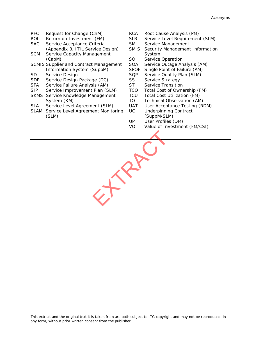- RFC Request for Change (ChM)
- ROI Return on Investment (FM)
- SAC Service Acceptance Criteria (Appendix B, *ITIL Service Design*) SCM Service Capacity Management
- (CapM)
- SCMIS Supplier and Contract Management Information System (SuppM)
- SD Service Design<br>SDP Service Design
- Service Design Package (DC)
- SFA Service Failure Analysis (AM)
- SIP Service Improvement Plan (SLM) SKMS Service Knowledge Management
- System (KM) SLA Service Level Agreement (SLM)
- SLAM Service Level Agreement Monitoring
- (SLM)
- RCA Root Cause Analysis (PM)
- SLR Service Level Requirement (SLM)
- SM Service Management
- SMIS Security Management Information **System**
- SO Service Operation
- SOA Service Outage Analysis (AM)<br>SPOF Single Point of Failure (AM)
- Single Point of Failure (AM)
- SQP Service Quality Plan (SLM)
- SS Service Strategy
- ST Service Transition
- TCO Total Cost of Ownership (FM)<br>TCU Total Cost Utilization (FM)
- TCU Total Cost Utilization (FM)<br>TO Technical Observation (AM
- Technical Observation (AM)
- UAT User Acceptance Testing (RDM) UC Underpinning Contract (SuppM/SLM)
- UP User Profiles (DM)
- VOI Value of Investment (FM/CSI)

EXTRACT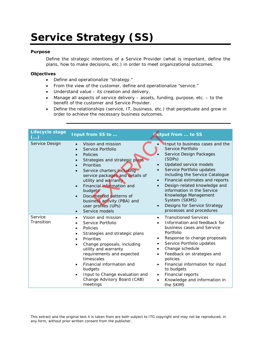# **Service Strategy (SS)**

#### **Purpose**

Define the strategic intentions of a Service Provider (what is important, define the plans, how to make decisions, etc.) in order to meet organizational outcomes.

#### **Objectives**

- Define and operationalize "strategy."
- From the view of the customer, define and operationalize "service."
- Understand value its creation and delivery.
- Manage all aspects of service delivery assets, funding, purpose, etc. to the benefit of the customer and Service Provider.
- Define the relationships (service, IT, business, etc.) that perpetuate and grow in order to achieve the necessary business outcomes.

| Lifecycle stage<br>() | Input from SS to                                                                                                                                                                                                                                                                                                                                                                                                                                            | <b>utput from  to SS</b>                                                                                                                                                                                                                                                                                                                                                                                                                                   |
|-----------------------|-------------------------------------------------------------------------------------------------------------------------------------------------------------------------------------------------------------------------------------------------------------------------------------------------------------------------------------------------------------------------------------------------------------------------------------------------------------|------------------------------------------------------------------------------------------------------------------------------------------------------------------------------------------------------------------------------------------------------------------------------------------------------------------------------------------------------------------------------------------------------------------------------------------------------------|
| Service Design        | Vision and mission<br>$\bullet$<br>Service Portfolio<br>$\bullet$<br>Policies<br>$\bullet$<br>Strategies and strategic plans<br>$\bullet$<br>Priorities<br>$\bullet$<br>Service charters including<br>$\bullet$<br>service packages and details of<br>utility and warranty<br>Financial information and<br>$\bullet$<br>budgets<br>Documented patterns of<br>$\bullet$<br>business activity (PBA) and<br>user profiles (UPs)<br>Service models<br>$\bullet$ | Input to business cases and the<br>Service Portfolio<br>Service Design Packages<br>(SDPs)<br>Updated service models<br>$\bullet$<br>Service Portfolio updates<br>$\bullet$<br>including the Service Catalogue<br>Financial estimates and reports<br>$\bullet$<br>Design-related knowledge and<br>$\bullet$<br>information in the Service<br>Knowledge Management<br>System (SKMS)<br>Designs for Service Strategy<br>$\bullet$<br>processes and procedures |
| Service<br>Transition | Vision and mission<br>$\bullet$<br>Service Portfolio<br>٠<br>Policies<br>$\bullet$<br>Strategies and strategic plans<br>$\bullet$<br>Priorities<br>$\bullet$<br>Change proposals, including<br>utility and warranty<br>requirements and expected<br>timescales<br>Financial information and<br>$\bullet$<br>budgets<br>Input to Change evaluation and<br>$\bullet$<br>Change Advisory Board (CAB)<br>meetings                                               | <b>Transitioned Services</b><br>$\bullet$<br>Information and feedback for<br>$\bullet$<br>business cases and Service<br>Portfolio<br>Response to change proposals<br>$\bullet$<br>Service Portfolio updates<br>$\bullet$<br>Change schedule<br>Feedback on strategies and<br>$\bullet$<br>policies<br>Financial information for input<br>$\bullet$<br>to budgets<br>Financial reports<br>$\bullet$<br>Knowledge and information in<br>the SKMS             |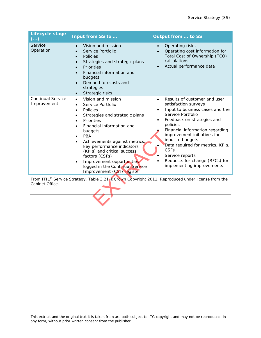| Lifecycle stage<br>()                   | Input from SS to                                                                                                                                                                                                                                                                                                                                                                                                                              | Output from  to SS                                                                                                                                                                                                                                                                                                                                                                                                       |
|-----------------------------------------|-----------------------------------------------------------------------------------------------------------------------------------------------------------------------------------------------------------------------------------------------------------------------------------------------------------------------------------------------------------------------------------------------------------------------------------------------|--------------------------------------------------------------------------------------------------------------------------------------------------------------------------------------------------------------------------------------------------------------------------------------------------------------------------------------------------------------------------------------------------------------------------|
| Service<br>Operation                    | Vision and mission<br>$\bullet$<br>Service Portfolio<br>Policies<br>Strategies and strategic plans<br>Priorities<br>Financial information and<br>budgets<br>Demand forecasts and<br>strategies<br>Strategic risks<br>$\bullet$                                                                                                                                                                                                                | Operating risks<br>$\bullet$<br>Operating cost information for<br>$\bullet$<br>Total Cost of Ownership (TCO)<br>calculations<br>Actual performance data                                                                                                                                                                                                                                                                  |
| <b>Continual Service</b><br>Improvement | Vision and mission<br>$\bullet$<br>Service Portfolio<br>$\bullet$<br>Policies<br>$\bullet$<br>Strategies and strategic plans<br>٠<br>Priorities<br>Financial information and<br>budgets<br><b>PBA</b><br>$\bullet$<br>Achievements against metrics,<br>key performance indicators<br>(KPIs) and critical success<br>factors (CSFs)<br>Improvement opportunities<br>$\bullet$<br>logged in the Continual Service<br>Improvement (CSI) register | Results of customer and user<br>$\bullet$<br>satisfaction surveys<br>Input to business cases and the<br>$\bullet$<br>Service Portfolio<br>Feedback on strategies and<br>$\bullet$<br>policies<br>Financial information regarding<br>improvement initiatives for<br>input to budgets<br>Data required for metrics, KPIs,<br><b>CSFs</b><br>Service reports<br>Requests for change (RFCs) for<br>implementing improvements |
| Cabinet Office.                         |                                                                                                                                                                                                                                                                                                                                                                                                                                               | From ITIL® Service Strategy, Table 3.21 © Crown Copyright 2011. Reproduced under license from the                                                                                                                                                                                                                                                                                                                        |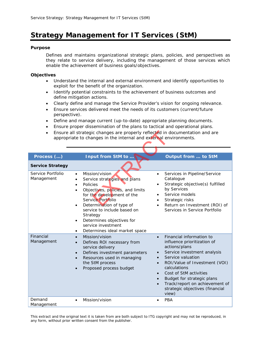### **Strategy Management for IT Services (StM)**

#### **Purpose**

Defines and maintains organizational strategic plans, policies, and perspectives as they relate to service delivery, including the management of those services which enable the achievement of business goals/objectives.

#### **Objectives**

- Understand the internal and external environment and identify opportunities to exploit for the benefit of the organization.
- Identify potential constraints to the achievement of business outcomes and define mitigation actions.
- Clearly define and manage the Service Provider's vision for ongoing relevance.
- Ensure services delivered meet the needs of its customers (current/future perspective).
- Define and manage current (up-to-date) appropriate planning documents.
- Ensure proper dissemination of the plans to tactical and operational plans.
- Ensure all strategic changes are properly reflected in documentation and are appropriate to changes in the internal and external environments.

| Ensure all strategic changes are properly reflected in documentation and are<br>appropriate to changes in the internal and external environments. |                                                                                                                                                                                                                                                                                                                                                                                                         |                                                                                                                                                                                                                                                                                                                                                                                                   |
|---------------------------------------------------------------------------------------------------------------------------------------------------|---------------------------------------------------------------------------------------------------------------------------------------------------------------------------------------------------------------------------------------------------------------------------------------------------------------------------------------------------------------------------------------------------------|---------------------------------------------------------------------------------------------------------------------------------------------------------------------------------------------------------------------------------------------------------------------------------------------------------------------------------------------------------------------------------------------------|
| Process ()                                                                                                                                        | Input from StM to                                                                                                                                                                                                                                                                                                                                                                                       | Output from  to StM                                                                                                                                                                                                                                                                                                                                                                               |
| <b>Service Strategy</b>                                                                                                                           |                                                                                                                                                                                                                                                                                                                                                                                                         |                                                                                                                                                                                                                                                                                                                                                                                                   |
| Service Portfolio<br>Management                                                                                                                   | Mission/vision<br>$\bullet$<br>Service strategies and plans<br>$\bullet$<br>Policies<br>$\bullet$<br>Objectives, policies, and limits<br>$\bullet$<br>for the development of the<br>Service Portfolio<br>Determination of type of<br>$\bullet$<br>service to include based on<br>Strategy<br>Determines objectives for<br>$\bullet$<br>service investment<br>Determines ideal market space<br>$\bullet$ | Services in Pipeline/Service<br>$\bullet$<br>Catalogue<br>Strategic objective(s) fulfilled<br>by Services<br>Service models<br>٠<br>Strategic risks<br>Return on Investment (ROI) of<br>Services in Service Portfolio                                                                                                                                                                             |
| Financial<br>Management                                                                                                                           | Mission/vision<br>$\bullet$<br>Defines ROI necessary from<br>$\bullet$<br>service delivery<br>Defines investment parameters<br>$\bullet$<br>Resources used in managing<br>$\bullet$<br>the StM process<br>Proposed process budget<br>$\bullet$                                                                                                                                                          | Financial information to<br>$\bullet$<br>influence prioritization of<br>actions/plans<br>Service investment analysis<br>$\bullet$<br>Service valuation<br>$\bullet$<br>ROI/Value of Investment (VOI)<br>$\bullet$<br>calculations<br>Cost of StM activities<br>$\bullet$<br>Budget for strategic plans<br>$\bullet$<br>Track/report on achievement of<br>strategic objectives (financial<br>view) |
| Demand<br>Management                                                                                                                              | Mission/vision                                                                                                                                                                                                                                                                                                                                                                                          | <b>PBA</b>                                                                                                                                                                                                                                                                                                                                                                                        |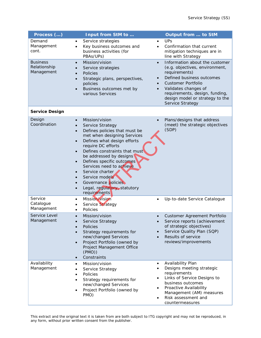| Process ()                                    | Input from StM to                                                                                                                                                                                                                                                                                                                                                                                                                                                      | Output from  to StM                                                                                                                                                                                                                                                                                 |
|-----------------------------------------------|------------------------------------------------------------------------------------------------------------------------------------------------------------------------------------------------------------------------------------------------------------------------------------------------------------------------------------------------------------------------------------------------------------------------------------------------------------------------|-----------------------------------------------------------------------------------------------------------------------------------------------------------------------------------------------------------------------------------------------------------------------------------------------------|
| Demand<br>Management<br>cont.                 | Service strategies<br>$\bullet$<br>Key business outcomes and<br>$\bullet$<br>business activities (for<br>PBAs/UPs)                                                                                                                                                                                                                                                                                                                                                     | <b>UPs</b><br>$\bullet$<br>Confirmation that current<br>$\bullet$<br>mitigation techniques are in<br>line with Strategy                                                                                                                                                                             |
| <b>Business</b><br>Relationship<br>Management | Mission/vision<br>$\bullet$<br>Service strategies<br>Policies<br>Strategic plans, perspectives,<br>$\bullet$<br>policies<br>Business outcomes met by<br>$\bullet$<br>various Services                                                                                                                                                                                                                                                                                  | Information about the customer<br>$\bullet$<br>(e.g. objectives, environment,<br>requirements)<br>Defined business outcomes<br><b>Customer Portfolio</b><br>$\bullet$<br>Validates changes of<br>$\bullet$<br>requirements, design, funding,<br>design model or strategy to the<br>Service Strategy |
| <b>Service Design</b>                         |                                                                                                                                                                                                                                                                                                                                                                                                                                                                        |                                                                                                                                                                                                                                                                                                     |
| Design<br>Coordination                        | Mission/vision<br>$\bullet$<br>Service Strategy<br>Defines policies that must be<br>$\bullet$<br>met when designing Services<br>Defines what design efforts<br>$\bullet$<br>require DC efforts<br>Defines constraints that must<br>$\bullet$<br>be addressed by designs<br>Defines specific outcomes<br>$\bullet$<br>Services need to achieve<br>Service charter<br>$\bullet$<br>Service models<br>Governance policies<br>Legal, regulatory, statutory<br>requirements | Plans/designs that address<br>$\bullet$<br>(meet) the strategic objectives<br>(SDP)                                                                                                                                                                                                                 |
| Service<br>Catalogue<br>Management            | Mission/vision<br>$\bullet$<br>Service Strategy<br>Policies<br>$\bullet$                                                                                                                                                                                                                                                                                                                                                                                               | Up-to-date Service Catalogue<br>$\bullet$                                                                                                                                                                                                                                                           |
| Service Level<br>Management                   | Mission/vision<br>$\bullet$<br>Service Strategy<br>Policies<br>Strategy requirements for<br>new/changed Services<br>Project Portfolio (owned by<br>$\bullet$<br>Project Management Office<br>(PMO))<br>Constraints<br>$\bullet$                                                                                                                                                                                                                                        | <b>Customer Agreement Portfolio</b><br>Service reports (achievement<br>of strategic objectives)<br>Service Quality Plan (SQP)<br>Results of service<br>reviews/improvements                                                                                                                         |
| Availability<br>Management                    | Mission/vision<br>٠<br>Service Strategy<br>Policies<br>٠<br>Strategy requirements for<br>$\bullet$<br>new/changed Services<br>Project Portfolio (owned by<br>PMO)                                                                                                                                                                                                                                                                                                      | Availability Plan<br>$\bullet$<br>Designs meeting strategic<br>$\bullet$<br>requirements<br>Links of Service Designs to<br>$\bullet$<br>business outcomes<br>Proactive Availability<br>$\bullet$<br>Management (AM) measures<br>Risk assessment and<br>$\bullet$<br>countermeasures                 |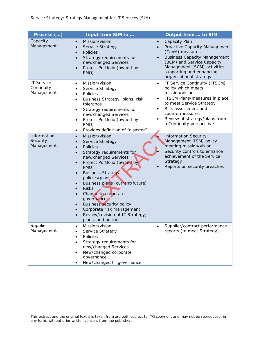| Process ()                                    | Input from StM to                                                                                                                                                                                                                                                                                                                                                                                                                                                                  | Output from  to StM                                                                                                                                                                                                                                                           |
|-----------------------------------------------|------------------------------------------------------------------------------------------------------------------------------------------------------------------------------------------------------------------------------------------------------------------------------------------------------------------------------------------------------------------------------------------------------------------------------------------------------------------------------------|-------------------------------------------------------------------------------------------------------------------------------------------------------------------------------------------------------------------------------------------------------------------------------|
| Capacity<br>Management                        | Mission/vision<br>$\bullet$<br>Service Strategy<br>$\bullet$<br><b>Policies</b><br>Strategy requirements for<br>$\bullet$<br>new/changed Services<br>Project Portfolio (owned by<br>$\bullet$<br>PMO)                                                                                                                                                                                                                                                                              | Capacity Plan<br>$\bullet$<br>Proactive Capacity Management<br>$\bullet$<br>(CapM) measures<br><b>Business Capacity Management</b><br>$\bullet$<br>(BCM) and Service Capacity<br>Management (SCM) activities<br>supporting and enhancing<br>organizational strategy           |
| <b>IT Service</b><br>Continuity<br>Management | Mission/vision<br>$\bullet$<br>Service Strategy<br>Policies<br>$\bullet$<br>Business Strategy, plans, risk<br>$\bullet$<br>tolerance<br>Strategy requirements for<br>$\bullet$<br>new/changed Services<br>Project Portfolio (owned by<br>$\bullet$<br>PMO)<br>Provides definition of "disaster"<br>$\bullet$                                                                                                                                                                       | IT Service Continuity (ITSCM)<br>٠<br>policy which meets<br>mission/vision<br>ITSCM Plans/measures in place<br>$\bullet$<br>to meet Service Strategy<br>Risk assessment and<br>٠<br>countermeasures<br>Review of strategy/plans from<br>$\bullet$<br>a Continuity perspective |
| Information<br>Security<br>Management         | Mission/vision<br>$\bullet$<br>Service Strategy<br><b>Policies</b><br>Strategy requirements for<br>$\bullet$<br>new/changed Services<br>Project Portfolio (owned by<br>$\bullet$<br>PMO)<br><b>Business Strategy</b><br>$\bullet$<br>policies/plans<br>Business plans (current/future)<br>$\bullet$<br><b>Risks</b><br>Change to corporate<br>governance<br><b>Business security policy</b><br>Corporate risk management<br>Review/revision of IT Strategy,<br>plans, and policies | <b>Information Security</b><br>Management (ISM) policy<br>meeting mission/vision<br>Security controls to enhance<br>achievement of the Service<br>Strategy<br>Reports on security breaches                                                                                    |
| Supplier<br>Management                        | Mission/vision<br>Service Strategy<br>Policies<br>Strategy requirements for<br>$\bullet$<br>new/changed Services<br>New/changed corporate<br>$\bullet$<br>governance<br>New/changed IT governance                                                                                                                                                                                                                                                                                  | Supplier/contract performance<br>reports (to meet Strategy)                                                                                                                                                                                                                   |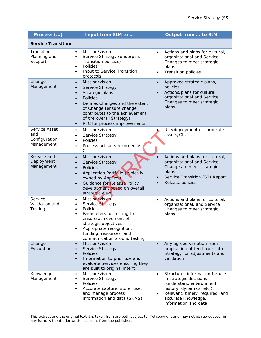| Process ()                                                                                               | Input from StM to                                                                                                                                                                                                             | Output from  to StM                                                                                                                                                                                                          |
|----------------------------------------------------------------------------------------------------------|-------------------------------------------------------------------------------------------------------------------------------------------------------------------------------------------------------------------------------|------------------------------------------------------------------------------------------------------------------------------------------------------------------------------------------------------------------------------|
| <b>Service Transition</b>                                                                                |                                                                                                                                                                                                                               |                                                                                                                                                                                                                              |
| Transition<br>$\bullet$<br>Planning and<br>$\bullet$<br>Support<br>$\bullet$<br>$\bullet$                | Mission/vision<br>Service Strategy (underpins<br>Transition policies)<br>Policies<br>Input to Service Transition<br>protocols                                                                                                 | Actions and plans for cultural,<br>$\bullet$<br>organizational and Service<br>Changes to meet strategic<br>plans<br><b>Transition policies</b><br>$\bullet$                                                                  |
| Change<br>$\bullet$<br>Management<br>$\bullet$<br>$\bullet$<br>$\bullet$<br>$\bullet$<br>$\bullet$       | Mission/vision<br>Service Strategy<br>Strategic plans<br>Policies<br>Defines Changes and the extent<br>of Change (ensure change<br>contributes to the achievement<br>of the overall Strategy)<br>RFC for process improvements | Approved strategic plans,<br>$\bullet$<br>policies<br>Actions/plans for cultural,<br>organizational and Service<br>Changes to meet strategic<br>plans                                                                        |
| Service Asset<br>$\bullet$<br>and<br>Configuration<br>Management<br>$\bullet$                            | Mission/vision<br>Service Strategy<br>Policies<br>Process artifacts recorded as<br>CIs                                                                                                                                        | Use/deployment of corporate<br>assets/CIs                                                                                                                                                                                    |
| Release and<br>$\bullet$<br>Deployment<br>$\bullet$<br>Management<br>$\bullet$<br>$\bullet$<br>$\bullet$ | Mission/vision<br>Service Strategy<br>Policies<br>Application Portfolio (typically<br>owned by AppDev)<br><b>Guidance for Release Policy</b><br>development based on overall<br>strategic view                                | Actions and plans for cultural,<br>organizational and Service<br>Changes to meet strategic<br>plans<br>Service Transition (ST) Report<br>Release policies                                                                    |
| Service<br>$\bullet$<br>Validation and<br>$\bullet$<br>Testing<br>$\bullet$<br>$\bullet$                 | Mission/vision<br>Service Strategy<br>Policies<br>Parameters for testing to<br>ensure achievement of<br>strategic objectives<br>Appropriate recognition,<br>funding, resources, and<br>communication around testing           | Actions and plans for cultural,<br>$\bullet$<br>organizational, and Service<br>Changes to meet strategic<br>plans                                                                                                            |
| Change<br>$\bullet$<br>Evaluation<br>$\bullet$                                                           | Mission/vision<br>Service Strategy<br>Policies<br>Information to prioritize and<br>evaluate Services ensuring they<br>are built to original intent                                                                            | Any agreed variation from<br>$\bullet$<br>original intent feed back into<br>Strategy for adjustments and<br>validation                                                                                                       |
| Knowledge<br>٠<br>Management<br>٠<br>$\bullet$                                                           | Mission/vision<br>Service Strategy<br>Policies<br>Accurate capture, store, use,<br>and manage process<br>information and data (SKMS)                                                                                          | Structures information for use<br>$\bullet$<br>in strategic decisions<br>(understand environment,<br>history, dynamics, etc.)<br>Relevant, timely, required, and<br>$\bullet$<br>accurate knowledge,<br>information and data |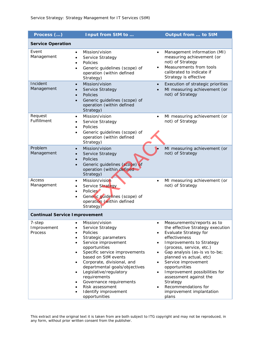| Process ()                                                                                | Input from StM to                                                                                                                                                                                                                                                                                                                                                      | Output from  to StM                                                                                                                                                                                                                                                                                                                                                                                                                                                      |
|-------------------------------------------------------------------------------------------|------------------------------------------------------------------------------------------------------------------------------------------------------------------------------------------------------------------------------------------------------------------------------------------------------------------------------------------------------------------------|--------------------------------------------------------------------------------------------------------------------------------------------------------------------------------------------------------------------------------------------------------------------------------------------------------------------------------------------------------------------------------------------------------------------------------------------------------------------------|
| <b>Service Operation</b>                                                                  |                                                                                                                                                                                                                                                                                                                                                                        |                                                                                                                                                                                                                                                                                                                                                                                                                                                                          |
| Event<br>$\bullet$<br>Management<br>$\bullet$                                             | Mission/vision<br>Service Strategy<br>Policies<br>Generic guidelines (scope) of<br>operation (within defined<br>Strategy)                                                                                                                                                                                                                                              | Management information (MI)<br>$\bullet$<br>measuring achievement (or<br>not) of Strategy<br>Measurements from tools<br>$\bullet$<br>calibrated to indicate if<br>Strategy is effective                                                                                                                                                                                                                                                                                  |
| Incident<br>$\bullet$<br>Management                                                       | Mission/vision<br>Service Strategy<br><b>Policies</b><br>Generic guidelines (scope) of<br>operation (within defined<br>Strategy)                                                                                                                                                                                                                                       | Execution of strategic priorities<br>$\bullet$<br>MI measuring achievement (or<br>not) of Strategy                                                                                                                                                                                                                                                                                                                                                                       |
| Request<br>$\bullet$<br>Fulfillment<br>$\bullet$<br>$\bullet$                             | Mission/vision<br>Service Strategy<br>Policies<br>Generic guidelines (scope) of<br>operation (within defined<br>Strategy)                                                                                                                                                                                                                                              | MI measuring achievement (or<br>$\bullet$<br>not) of Strategy                                                                                                                                                                                                                                                                                                                                                                                                            |
| Problem<br>$\bullet$<br>Management<br>$\bullet$                                           | Mission/vision<br>Service Strategy<br><b>Policies</b><br>Generic guidelines (scope) of<br>operation (within defined<br>Strategy)                                                                                                                                                                                                                                       | MI measuring achievement (or<br>not) of Strategy                                                                                                                                                                                                                                                                                                                                                                                                                         |
| Access<br>$\bullet$<br>Management<br>$\bullet$                                            | Mission/vision<br>Service Strategy<br><b>Policies</b><br>Generic guidelines (scope) of<br>operation (within defined<br>Strategy)                                                                                                                                                                                                                                       | MI measuring achievement (or<br>$\bullet$<br>not) of Strategy                                                                                                                                                                                                                                                                                                                                                                                                            |
| <b>Continual Service Improvement</b>                                                      |                                                                                                                                                                                                                                                                                                                                                                        |                                                                                                                                                                                                                                                                                                                                                                                                                                                                          |
| 7-step<br>Improvement<br>Process<br>٠<br>$\bullet$<br>$\bullet$<br>$\bullet$<br>$\bullet$ | Mission/vision<br>Service Strategy<br>Policies<br>Strategic parameters<br>Service improvement<br>opportunities<br>Specific service improvements<br>based on StM events<br>Corporate, divisional, and<br>departmental goals/objectives<br>Legislative/regulatory<br>requirements<br>Governance requirements<br>Risk assessment<br>Identify improvement<br>opportunities | Measurements/reports as to<br>the effective Strategy execution<br>Evaluate Strategy for<br>$\bullet$<br>effectiveness<br>Improvements to Strategy<br>$\bullet$<br>(process, service, etc.)<br>Gap analysis (as-is vs to-be;<br>$\bullet$<br>planned vs actual, etc)<br>Service improvement<br>$\bullet$<br>opportunities<br>Improvement possibilities for<br>$\bullet$<br>assessment against the<br>Strategy<br>Recommendations for<br>improvement implantation<br>plans |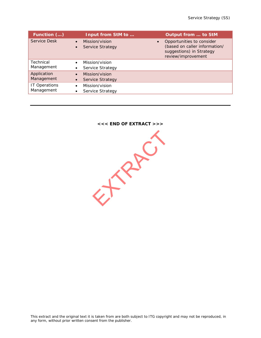| Function ()                        | Input from StM to                                                         | Output from  to StM                                                                                          |
|------------------------------------|---------------------------------------------------------------------------|--------------------------------------------------------------------------------------------------------------|
| Service Desk                       | Mission/vision<br>$\bullet$<br>$\bullet$<br>Service Strategy<br>$\bullet$ | Opportunities to consider<br>(based on caller information/<br>suggestions) in Strategy<br>review/improvement |
| Technical<br>Management            | Mission/vision<br>$\bullet$<br>Service Strategy<br>$\bullet$              |                                                                                                              |
| Application<br>Management          | Mission/vision<br>$\bullet$<br>Service Strategy<br>$\bullet$              |                                                                                                              |
| <b>IT Operations</b><br>Management | Mission/vision<br>$\bullet$<br>Service Strategy<br>$\bullet$              |                                                                                                              |

**<<< END OF EXTRACT >>>**

EXTRACT